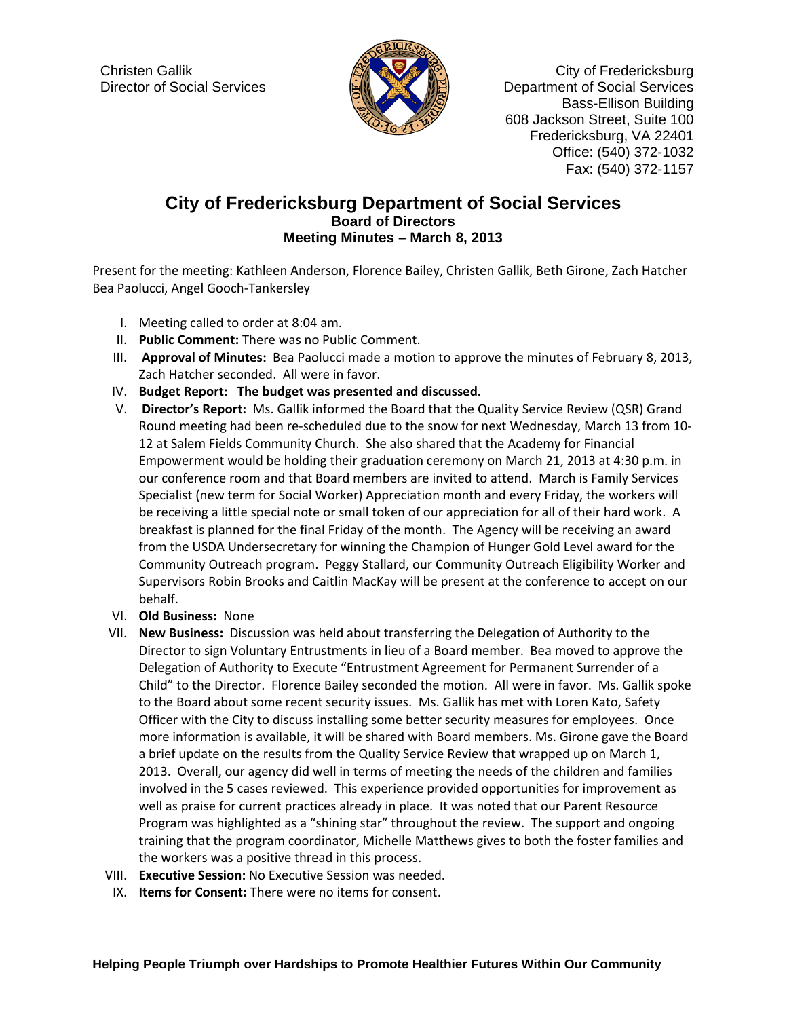

Christen Gallik **Christen Gallik City of Fredericksburg**  Director of Social Services Department of Social Services Bass-Ellison Building 608 Jackson Street, Suite 100 Fredericksburg, VA 22401 Office: (540) 372-1032 Fax: (540) 372-1157

## **City of Fredericksburg Department of Social Services Board of Directors Meeting Minutes – March 8, 2013**

Present for the meeting: Kathleen Anderson, Florence Bailey, Christen Gallik, Beth Girone, Zach Hatcher Bea Paolucci, Angel Gooch‐Tankersley

- I. Meeting called to order at 8:04 am.
- II. **Public Comment:** There was no Public Comment.
- III. **Approval of Minutes:** Bea Paolucci made a motion to approve the minutes of February 8, 2013, Zach Hatcher seconded. All were in favor.
- IV. **Budget Report: The budget was presented and discussed.**
- V. **Director's Report:** Ms. Gallik informed the Board that the Quality Service Review (QSR) Grand Round meeting had been re‐scheduled due to the snow for next Wednesday, March 13 from 10‐ 12 at Salem Fields Community Church. She also shared that the Academy for Financial Empowerment would be holding their graduation ceremony on March 21, 2013 at 4:30 p.m. in our conference room and that Board members are invited to attend. March is Family Services Specialist (new term for Social Worker) Appreciation month and every Friday, the workers will be receiving a little special note or small token of our appreciation for all of their hard work. A breakfast is planned for the final Friday of the month. The Agency will be receiving an award from the USDA Undersecretary for winning the Champion of Hunger Gold Level award for the Community Outreach program. Peggy Stallard, our Community Outreach Eligibility Worker and Supervisors Robin Brooks and Caitlin MacKay will be present at the conference to accept on our behalf.
- VI. **Old Business:** None
- VII. **New Business:** Discussion was held about transferring the Delegation of Authority to the Director to sign Voluntary Entrustments in lieu of a Board member. Bea moved to approve the Delegation of Authority to Execute "Entrustment Agreement for Permanent Surrender of a Child" to the Director. Florence Bailey seconded the motion. All were in favor. Ms. Gallik spoke to the Board about some recent security issues. Ms. Gallik has met with Loren Kato, Safety Officer with the City to discuss installing some better security measures for employees. Once more information is available, it will be shared with Board members. Ms. Girone gave the Board a brief update on the results from the Quality Service Review that wrapped up on March 1, 2013. Overall, our agency did well in terms of meeting the needs of the children and families involved in the 5 cases reviewed. This experience provided opportunities for improvement as well as praise for current practices already in place. It was noted that our Parent Resource Program was highlighted as a "shining star" throughout the review. The support and ongoing training that the program coordinator, Michelle Matthews gives to both the foster families and the workers was a positive thread in this process.
- VIII. **Executive Session:** No Executive Session was needed.
- IX. **Items for Consent:** There were no items for consent.